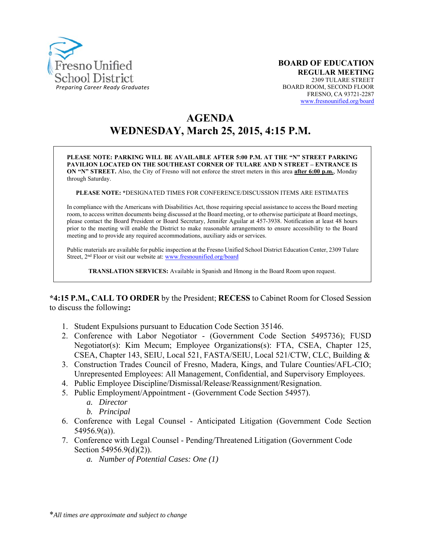

# **AGENDA WEDNESDAY, March 25, 2015, 4:15 P.M.**

**PLEASE NOTE: PARKING WILL BE AVAILABLE AFTER 5:00 P.M. AT THE "N" STREET PARKING PAVILION LOCATED ON THE SOUTHEAST CORNER OF TULARE AND N STREET – ENTRANCE IS ON "N" STREET.** Also, the City of Fresno will not enforce the street meters in this area **after 6:00 p.m.**, Monday through Saturday.

**PLEASE NOTE: \***DESIGNATED TIMES FOR CONFERENCE/DISCUSSION ITEMS ARE ESTIMATES

In compliance with the Americans with Disabilities Act, those requiring special assistance to access the Board meeting room, to access written documents being discussed at the Board meeting, or to otherwise participate at Board meetings, please contact the Board President or Board Secretary, Jennifer Aguilar at 457-3938. Notification at least 48 hours prior to the meeting will enable the District to make reasonable arrangements to ensure accessibility to the Board meeting and to provide any required accommodations, auxiliary aids or services.

Public materials are available for public inspection at the Fresno Unified School District Education Center, 2309 Tulare Street, 2<sup>nd</sup> Floor or visit our website at: www.fresnounified.org/board

**TRANSLATION SERVICES:** Available in Spanish and Hmong in the Board Room upon request.

**\*4:15 P.M., CALL TO ORDER** by the President; **RECESS** to Cabinet Room for Closed Session to discuss the following**:** 

- 1. Student Expulsions pursuant to Education Code Section 35146.
- 2. Conference with Labor Negotiator (Government Code Section 5495736); FUSD Negotiator(s): Kim Mecum; Employee Organizations(s): FTA, CSEA, Chapter 125, CSEA, Chapter 143, SEIU, Local 521, FASTA/SEIU, Local 521/CTW, CLC, Building &
- 3. Construction Trades Council of Fresno, Madera, Kings, and Tulare Counties/AFL-CIO; Unrepresented Employees: All Management, Confidential, and Supervisory Employees.
- 4. Public Employee Discipline/Dismissal/Release/Reassignment/Resignation.
- 5. Public Employment/Appointment (Government Code Section 54957).
	- *a. Director*
	- *b. Principal*
- 6. Conference with Legal Counsel Anticipated Litigation (Government Code Section 54956.9(a)).
- 7. Conference with Legal Counsel Pending/Threatened Litigation (Government Code Section 54956.9(d)(2)).
	- *a. Number of Potential Cases: One (1)*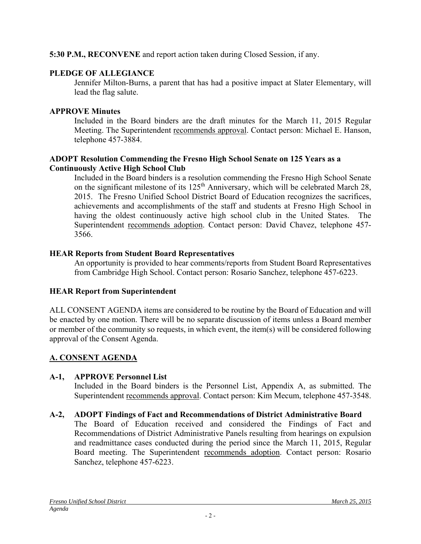### **5:30 P.M., RECONVENE** and report action taken during Closed Session, if any.

# **PLEDGE OF ALLEGIANCE**

Jennifer Milton-Burns, a parent that has had a positive impact at Slater Elementary, will lead the flag salute.

# **APPROVE Minutes**

Included in the Board binders are the draft minutes for the March 11, 2015 Regular Meeting. The Superintendent recommends approval. Contact person: Michael E. Hanson, telephone 457-3884.

### **ADOPT Resolution Commending the Fresno High School Senate on 125 Years as a Continuously Active High School Club**

Included in the Board binders is a resolution commending the Fresno High School Senate on the significant milestone of its 125<sup>th</sup> Anniversary, which will be celebrated March 28, 2015. The Fresno Unified School District Board of Education recognizes the sacrifices, achievements and accomplishments of the staff and students at Fresno High School in having the oldest continuously active high school club in the United States. The Superintendent recommends adoption. Contact person: David Chavez, telephone 457- 3566.

# **HEAR Reports from Student Board Representatives**

An opportunity is provided to hear comments/reports from Student Board Representatives from Cambridge High School. Contact person: Rosario Sanchez, telephone 457-6223.

# **HEAR Report from Superintendent**

ALL CONSENT AGENDA items are considered to be routine by the Board of Education and will be enacted by one motion. There will be no separate discussion of items unless a Board member or member of the community so requests, in which event, the item(s) will be considered following approval of the Consent Agenda.

# **A. CONSENT AGENDA**

# **A-1, APPROVE Personnel List**

Included in the Board binders is the Personnel List, Appendix A, as submitted. The Superintendent recommends approval. Contact person: Kim Mecum, telephone 457-3548.

# **A-2, ADOPT Findings of Fact and Recommendations of District Administrative Board**

The Board of Education received and considered the Findings of Fact and Recommendations of District Administrative Panels resulting from hearings on expulsion and readmittance cases conducted during the period since the March 11, 2015, Regular Board meeting. The Superintendent recommends adoption. Contact person: Rosario Sanchez, telephone 457-6223.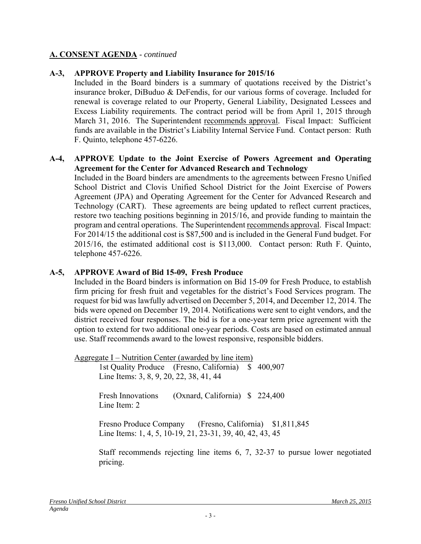#### **A-3, APPROVE Property and Liability Insurance for 2015/16**

Included in the Board binders is a summary of quotations received by the District's insurance broker, DiBuduo & DeFendis, for our various forms of coverage. Included for renewal is coverage related to our Property, General Liability, Designated Lessees and Excess Liability requirements. The contract period will be from April 1, 2015 through March 31, 2016. The Superintendent recommends approval. Fiscal Impact: Sufficient funds are available in the District's Liability Internal Service Fund. Contact person: Ruth F. Quinto, telephone 457-6226.

#### **A-4, APPROVE Update to the Joint Exercise of Powers Agreement and Operating Agreement for the Center for Advanced Research and Technology**

Included in the Board binders are amendments to the agreements between Fresno Unified School District and Clovis Unified School District for the Joint Exercise of Powers Agreement (JPA) and Operating Agreement for the Center for Advanced Research and Technology (CART). These agreements are being updated to reflect current practices, restore two teaching positions beginning in 2015/16, and provide funding to maintain the program and central operations. The Superintendent recommends approval. Fiscal Impact: For 2014/15 the additional cost is \$87,500 and is included in the General Fund budget. For 2015/16, the estimated additional cost is \$113,000. Contact person: Ruth F. Quinto, telephone 457-6226.

#### **A-5, APPROVE Award of Bid 15-09, Fresh Produce**

Included in the Board binders is information on Bid 15-09 for Fresh Produce, to establish firm pricing for fresh fruit and vegetables for the district's Food Services program. The request for bid was lawfully advertised on December 5, 2014, and December 12, 2014. The bids were opened on December 19, 2014. Notifications were sent to eight vendors, and the district received four responses. The bid is for a one-year term price agreement with the option to extend for two additional one-year periods. Costs are based on estimated annual use. Staff recommends award to the lowest responsive, responsible bidders.

Aggregate I – Nutrition Center (awarded by line item) 1st Quality Produce (Fresno, California) \$ 400,907 Line Items: 3, 8, 9, 20, 22, 38, 41, 44 Fresh Innovations (Oxnard, California) \$ 224,400 Line Item<sup>2</sup> Fresno Produce Company (Fresno, California) \$1,811,845 Line Items: 1, 4, 5, 10-19, 21, 23-31, 39, 40, 42, 43, 45

> Staff recommends rejecting line items 6, 7, 32-37 to pursue lower negotiated pricing.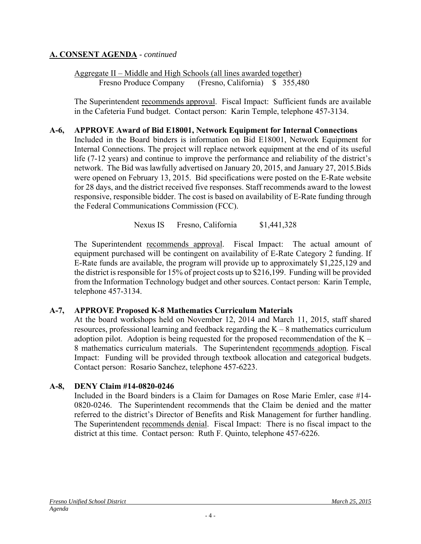Aggregate II – Middle and High Schools (all lines awarded together) Fresno Produce Company (Fresno, California) \$ 355,480

The Superintendent recommends approval. Fiscal Impact: Sufficient funds are available in the Cafeteria Fund budget. Contact person: Karin Temple, telephone 457-3134.

#### **A-6, APPROVE Award of Bid E18001, Network Equipment for Internal Connections**

Included in the Board binders is information on Bid E18001, Network Equipment for Internal Connections. The project will replace network equipment at the end of its useful life (7-12 years) and continue to improve the performance and reliability of the district's network. The Bid was lawfully advertised on January 20, 2015, and January 27, 2015.Bids were opened on February 13, 2015. Bid specifications were posted on the E-Rate website for 28 days, and the district received five responses. Staff recommends award to the lowest responsive, responsible bidder. The cost is based on availability of E-Rate funding through the Federal Communications Commission (FCC).

Nexus IS Fresno, California \$1,441,328

The Superintendent recommends approval. Fiscal Impact: The actual amount of equipment purchased will be contingent on availability of E-Rate Category 2 funding. If E-Rate funds are available, the program will provide up to approximately \$1,225,129 and the district is responsible for 15% of project costs up to \$216,199. Funding will be provided from the Information Technology budget and other sources. Contact person: Karin Temple, telephone 457-3134.

### **A-7, APPROVE Proposed K-8 Mathematics Curriculum Materials**

At the board workshops held on November 12, 2014 and March 11, 2015, staff shared resources, professional learning and feedback regarding the  $K - 8$  mathematics curriculum adoption pilot. Adoption is being requested for the proposed recommendation of the K – 8 mathematics curriculum materials. The Superintendent recommends adoption. Fiscal Impact: Funding will be provided through textbook allocation and categorical budgets. Contact person: Rosario Sanchez, telephone 457-6223.

### **A-8, DENY Claim #14-0820-0246**

Included in the Board binders is a Claim for Damages on Rose Marie Emler, case #14- 0820-0246. The Superintendent recommends that the Claim be denied and the matter referred to the district's Director of Benefits and Risk Management for further handling. The Superintendent recommends denial. Fiscal Impact: There is no fiscal impact to the district at this time. Contact person: Ruth F. Quinto, telephone 457-6226.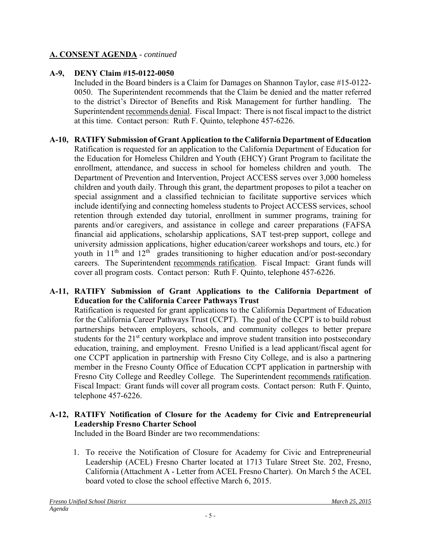# **A-9, DENY Claim #15-0122-0050**

Included in the Board binders is a Claim for Damages on Shannon Taylor, case #15-0122- 0050. The Superintendent recommends that the Claim be denied and the matter referred to the district's Director of Benefits and Risk Management for further handling. The Superintendent recommends denial. Fiscal Impact: There is not fiscal impact to the district at this time. Contact person: Ruth F. Quinto, telephone 457-6226.

#### **A-10, RATIFY Submission of Grant Application to the California Department of Education**  Ratification is requested for an application to the California Department of Education for the Education for Homeless Children and Youth (EHCY) Grant Program to facilitate the enrollment, attendance, and success in school for homeless children and youth. The Department of Prevention and Intervention, Project ACCESS serves over 3,000 homeless children and youth daily. Through this grant, the department proposes to pilot a teacher on special assignment and a classified technician to facilitate supportive services which include identifying and connecting homeless students to Project ACCESS services, school retention through extended day tutorial, enrollment in summer programs, training for parents and/or caregivers, and assistance in college and career preparations (FAFSA financial aid applications, scholarship applications, SAT test-prep support, college and university admission applications, higher education/career workshops and tours, etc.) for youth in  $11<sup>th</sup>$  and  $12<sup>th</sup>$  grades transitioning to higher education and/or post-secondary careers. The Superintendent recommends ratification. Fiscal Impact: Grant funds will cover all program costs. Contact person: Ruth F. Quinto, telephone 457-6226.

### **A-11, RATIFY Submission of Grant Applications to the California Department of Education for the California Career Pathways Trust**

Ratification is requested for grant applications to the California Department of Education for the California Career Pathways Trust (CCPT). The goal of the CCPT is to build robust partnerships between employers, schools, and community colleges to better prepare students for the 21<sup>st</sup> century workplace and improve student transition into postsecondary education, training, and employment. Fresno Unified is a lead applicant/fiscal agent for one CCPT application in partnership with Fresno City College, and is also a partnering member in the Fresno County Office of Education CCPT application in partnership with Fresno City College and Reedley College. The Superintendent recommends ratification. Fiscal Impact: Grant funds will cover all program costs. Contact person: Ruth F. Quinto, telephone 457-6226.

# **A-12, RATIFY Notification of Closure for the Academy for Civic and Entrepreneurial Leadership Fresno Charter School**

Included in the Board Binder are two recommendations:

1. To receive the Notification of Closure for Academy for Civic and Entrepreneurial Leadership (ACEL) Fresno Charter located at 1713 Tulare Street Ste. 202, Fresno, California (Attachment A - Letter from ACEL Fresno Charter). On March 5 the ACEL board voted to close the school effective March 6, 2015.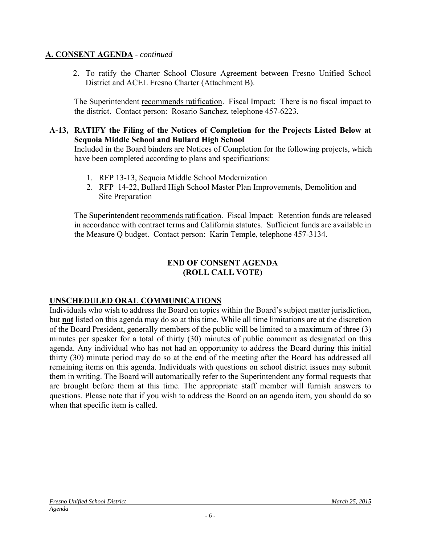2. To ratify the Charter School Closure Agreement between Fresno Unified School District and ACEL Fresno Charter (Attachment B).

The Superintendent recommends ratification. Fiscal Impact: There is no fiscal impact to the district. Contact person: Rosario Sanchez, telephone 457-6223.

#### **A-13, RATIFY the Filing of the Notices of Completion for the Projects Listed Below at Sequoia Middle School and Bullard High School**

Included in the Board binders are Notices of Completion for the following projects, which have been completed according to plans and specifications:

- 1. RFP 13-13, Sequoia Middle School Modernization
- 2. RFP 14-22, Bullard High School Master Plan Improvements, Demolition and Site Preparation

The Superintendent recommends ratification. Fiscal Impact: Retention funds are released in accordance with contract terms and California statutes. Sufficient funds are available in the Measure Q budget. Contact person: Karin Temple, telephone 457-3134.

#### **END OF CONSENT AGENDA (ROLL CALL VOTE)**

### **UNSCHEDULED ORAL COMMUNICATIONS**

Individuals who wish to address the Board on topics within the Board's subject matter jurisdiction, but **not** listed on this agenda may do so at this time. While all time limitations are at the discretion of the Board President, generally members of the public will be limited to a maximum of three (3) minutes per speaker for a total of thirty (30) minutes of public comment as designated on this agenda. Any individual who has not had an opportunity to address the Board during this initial thirty (30) minute period may do so at the end of the meeting after the Board has addressed all remaining items on this agenda. Individuals with questions on school district issues may submit them in writing. The Board will automatically refer to the Superintendent any formal requests that are brought before them at this time. The appropriate staff member will furnish answers to questions. Please note that if you wish to address the Board on an agenda item, you should do so when that specific item is called.